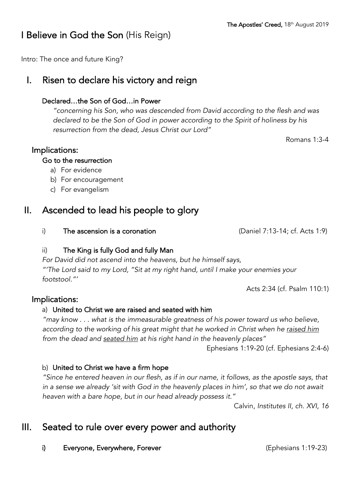# I Believe in God the Son (His Reign)

Intro: The once and future King?

# I. Risen to declare his victory and reign

#### Declared…the Son of God…in Power

*"concerning his Son, who was descended from David according to the flesh and was declared to be the Son of God in power according to the Spirit of holiness by his resurrection from the dead, Jesus Christ our Lord"* 

Romans 1:3-4

### Implications:

#### Go to the resurrection

- a) For evidence
- b) For encouragement
- c) For evangelism

# II. Ascended to lead his people to glory

i) The ascension is a coronation (Daniel 7:13-14; cf. Acts 1:9)

### ii) The King is fully God and fully Man

*For David did not ascend into the heavens, but he himself says, "'The Lord said to my Lord, "Sit at my right hand, until I make your enemies your footstool."'*

Acts 2:34 (cf. Psalm 110:1)

### Implications:

### a) United to Christ we are raised and seated with him

*"may know . . . what is the immeasurable greatness of his power toward us who believe, according to the working of his great might that he worked in Christ when he raised him from the dead and seated him at his right hand in the heavenly places"*

Ephesians 1:19-20 (cf. Ephesians 2:4-6)

### b) United to Christ we have a firm hope

*"Since he entered heaven in our flesh, as if in our name, it follows, as the apostle says, that in a sense we already 'sit with God in the heavenly places in him', so that we do not await heaven with a bare hope, but in our head already possess it."*

Calvin, *Institutes II, ch. XVI, 16*

# III. Seated to rule over every power and authority

i) Everyone, Everywhere, Forever (Ephesians 1:19-23)